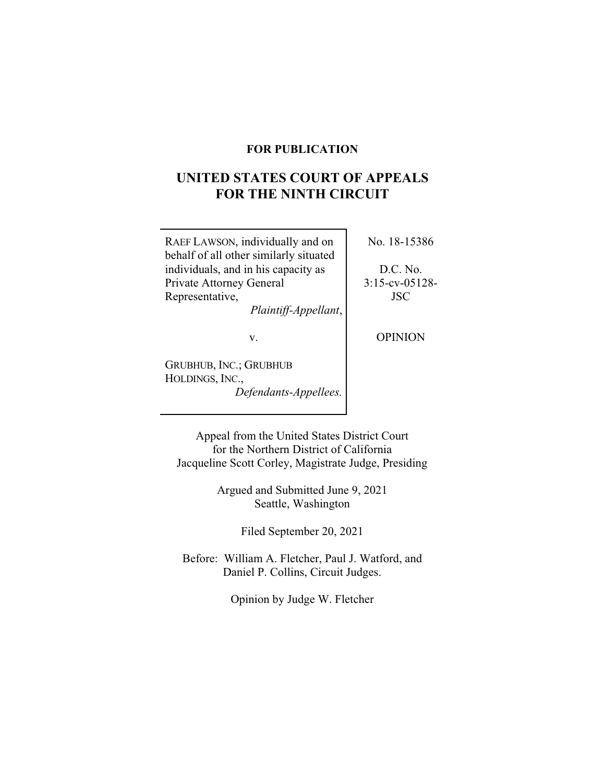## **FOR PUBLICATION**

# UNITED STATES COURT OF AFFEALS<br>FOD THE NINTH CIDCHIT **FOR THE NINTH CIRCUIT**

RAEF LAWSON, individually and on behalf of all other similarly situated individuals, and in his capacity as Private Attorney General Representative,

*Plaintiff-Appellant*,

v.

GRUBHUB, INC.; GRUBHUB HOLDINGS, INC., *Defendants-Appellees.* No. 18-15386

D.C. No. 3:15-cv-05128- JSC

OPINION

Appeal from the United States District Court for the Northern District of California Jacqueline Scott Corley, Magistrate Judge, Presiding

> Argued and Submitted June 9, 2021 Seattle, Washington

> > Filed September 20, 2021

Before: William A. Fletcher, Paul J. Watford, and Daniel P. Collins, Circuit Judges.

Opinion by Judge W. Fletcher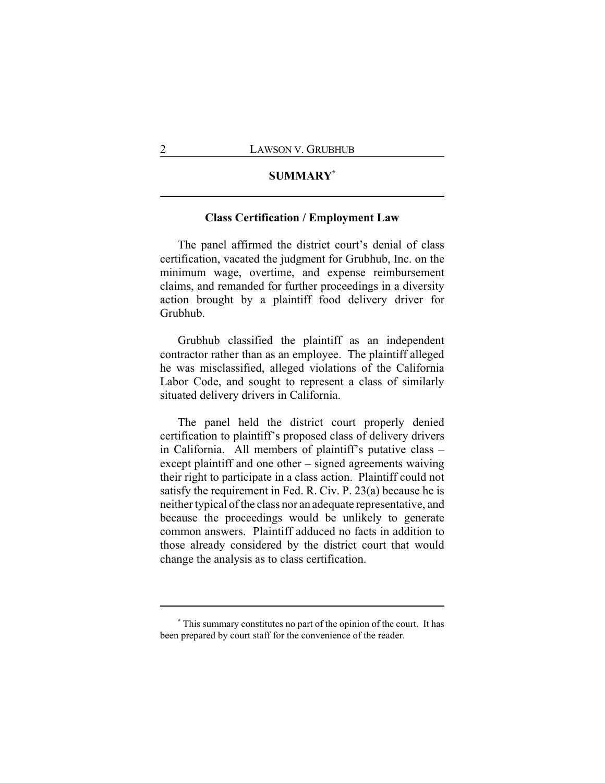# **SUMMARY\***

## **Class Certification / Employment Law**

The panel affirmed the district court's denial of class certification, vacated the judgment for Grubhub, Inc. on the minimum wage, overtime, and expense reimbursement claims, and remanded for further proceedings in a diversity action brought by a plaintiff food delivery driver for Grubhub.

Grubhub classified the plaintiff as an independent contractor rather than as an employee. The plaintiff alleged he was misclassified, alleged violations of the California Labor Code, and sought to represent a class of similarly situated delivery drivers in California.

The panel held the district court properly denied certification to plaintiff's proposed class of delivery drivers in California. All members of plaintiff's putative class – except plaintiff and one other – signed agreements waiving their right to participate in a class action. Plaintiff could not satisfy the requirement in Fed. R. Civ. P. 23(a) because he is neither typical of the class nor an adequate representative, and because the proceedings would be unlikely to generate common answers. Plaintiff adduced no facts in addition to those already considered by the district court that would change the analysis as to class certification.

**<sup>\*</sup>** This summary constitutes no part of the opinion of the court. It has been prepared by court staff for the convenience of the reader.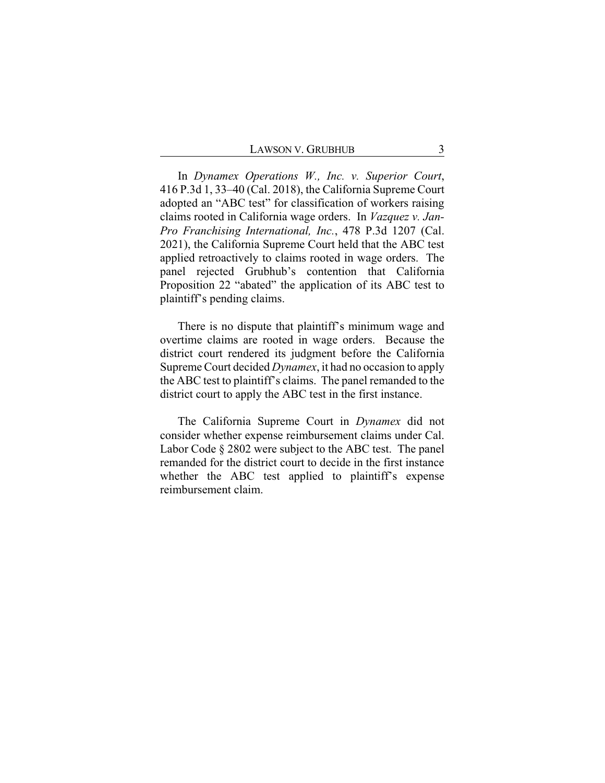In *Dynamex Operations W., Inc. v. Superior Court*, 416 P.3d 1, 33–40 (Cal. 2018), the California Supreme Court adopted an "ABC test" for classification of workers raising claims rooted in California wage orders. In *Vazquez v. Jan-Pro Franchising International, Inc.*, 478 P.3d 1207 (Cal. 2021), the California Supreme Court held that the ABC test applied retroactively to claims rooted in wage orders. The panel rejected Grubhub's contention that California Proposition 22 "abated" the application of its ABC test to plaintiff's pending claims.

There is no dispute that plaintiff's minimum wage and overtime claims are rooted in wage orders. Because the district court rendered its judgment before the California Supreme Court decided *Dynamex*, it had no occasion to apply the ABC test to plaintiff's claims. The panel remanded to the district court to apply the ABC test in the first instance.

The California Supreme Court in *Dynamex* did not consider whether expense reimbursement claims under Cal. Labor Code § 2802 were subject to the ABC test. The panel remanded for the district court to decide in the first instance whether the ABC test applied to plaintiff's expense reimbursement claim.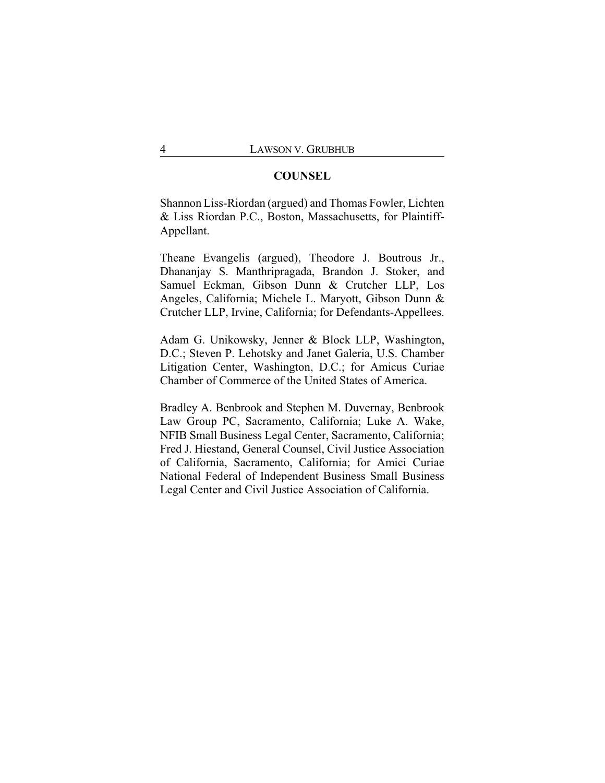## **COUNSEL**

Shannon Liss-Riordan (argued) and Thomas Fowler, Lichten & Liss Riordan P.C., Boston, Massachusetts, for Plaintiff-Appellant.

Theane Evangelis (argued), Theodore J. Boutrous Jr., Dhananjay S. Manthripragada, Brandon J. Stoker, and Samuel Eckman, Gibson Dunn & Crutcher LLP, Los Angeles, California; Michele L. Maryott, Gibson Dunn & Crutcher LLP, Irvine, California; for Defendants-Appellees.

Adam G. Unikowsky, Jenner & Block LLP, Washington, D.C.; Steven P. Lehotsky and Janet Galeria, U.S. Chamber Litigation Center, Washington, D.C.; for Amicus Curiae Chamber of Commerce of the United States of America.

Bradley A. Benbrook and Stephen M. Duvernay, Benbrook Law Group PC, Sacramento, California; Luke A. Wake, NFIB Small Business Legal Center, Sacramento, California; Fred J. Hiestand, General Counsel, Civil Justice Association of California, Sacramento, California; for Amici Curiae National Federal of Independent Business Small Business Legal Center and Civil Justice Association of California.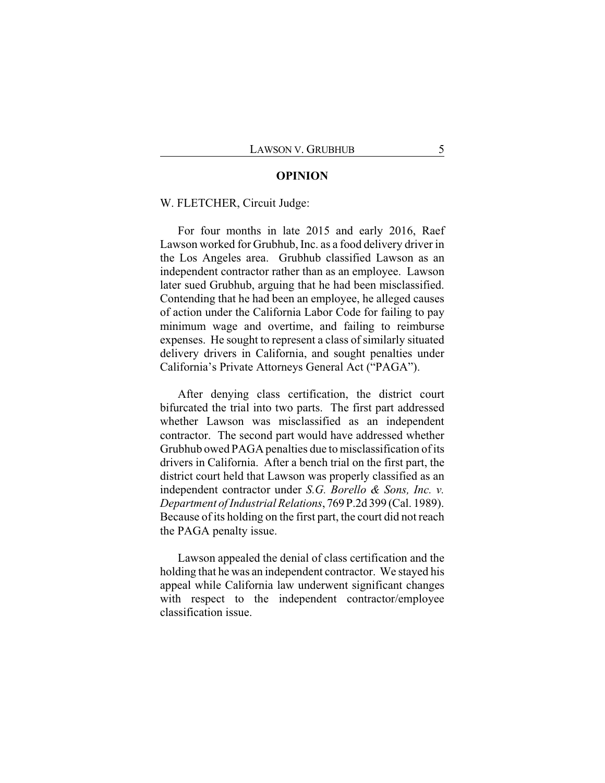#### **OPINION**

#### W. FLETCHER, Circuit Judge:

For four months in late 2015 and early 2016, Raef Lawson worked for Grubhub, Inc. as a food delivery driver in the Los Angeles area. Grubhub classified Lawson as an independent contractor rather than as an employee. Lawson later sued Grubhub, arguing that he had been misclassified. Contending that he had been an employee, he alleged causes of action under the California Labor Code for failing to pay minimum wage and overtime, and failing to reimburse expenses. He sought to represent a class of similarly situated delivery drivers in California, and sought penalties under California's Private Attorneys General Act ("PAGA").

After denying class certification, the district court bifurcated the trial into two parts. The first part addressed whether Lawson was misclassified as an independent contractor. The second part would have addressed whether Grubhub owed PAGA penalties due to misclassification of its drivers in California. After a bench trial on the first part, the district court held that Lawson was properly classified as an independent contractor under *S.G. Borello & Sons, Inc. v. Department of Industrial Relations*, 769 P.2d 399 (Cal. 1989). Because of its holding on the first part, the court did not reach the PAGA penalty issue.

Lawson appealed the denial of class certification and the holding that he was an independent contractor. We stayed his appeal while California law underwent significant changes with respect to the independent contractor/employee classification issue.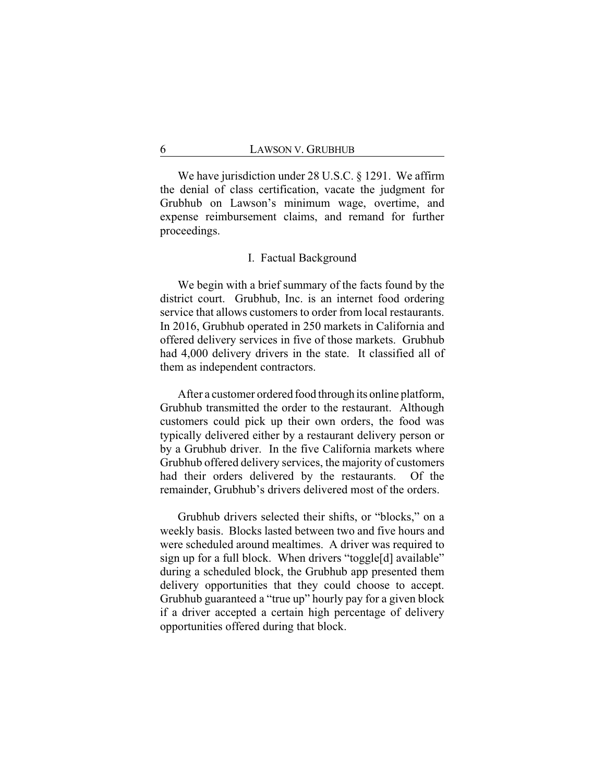We have jurisdiction under 28 U.S.C. § 1291. We affirm the denial of class certification, vacate the judgment for Grubhub on Lawson's minimum wage, overtime, and expense reimbursement claims, and remand for further proceedings.

#### I. Factual Background

We begin with a brief summary of the facts found by the district court. Grubhub, Inc. is an internet food ordering service that allows customers to order from local restaurants. In 2016, Grubhub operated in 250 markets in California and offered delivery services in five of those markets. Grubhub had 4,000 delivery drivers in the state. It classified all of them as independent contractors.

After a customer ordered food through its online platform, Grubhub transmitted the order to the restaurant. Although customers could pick up their own orders, the food was typically delivered either by a restaurant delivery person or by a Grubhub driver. In the five California markets where Grubhub offered delivery services, the majority of customers had their orders delivered by the restaurants. Of the remainder, Grubhub's drivers delivered most of the orders.

Grubhub drivers selected their shifts, or "blocks," on a weekly basis. Blocks lasted between two and five hours and were scheduled around mealtimes. A driver was required to sign up for a full block. When drivers "toggle[d] available" during a scheduled block, the Grubhub app presented them delivery opportunities that they could choose to accept. Grubhub guaranteed a "true up" hourly pay for a given block if a driver accepted a certain high percentage of delivery opportunities offered during that block.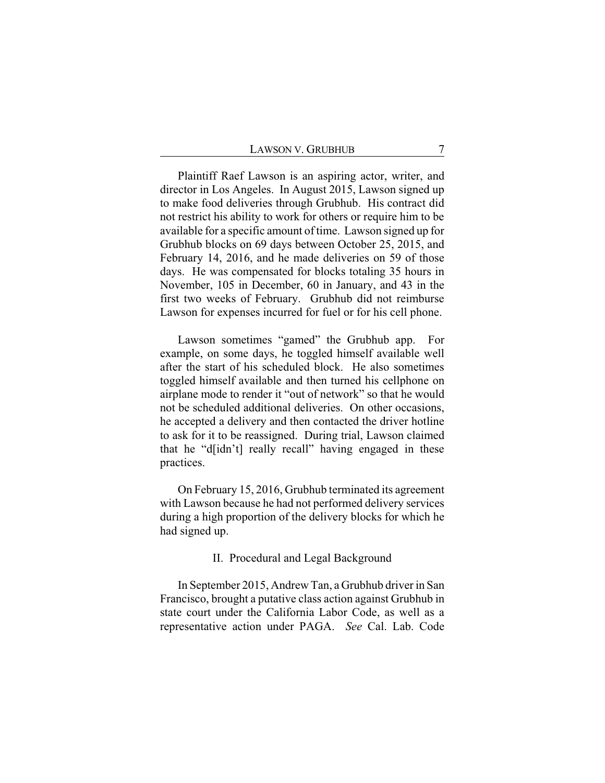Plaintiff Raef Lawson is an aspiring actor, writer, and director in Los Angeles. In August 2015, Lawson signed up to make food deliveries through Grubhub. His contract did not restrict his ability to work for others or require him to be available for a specific amount of time. Lawson signed up for Grubhub blocks on 69 days between October 25, 2015, and February 14, 2016, and he made deliveries on 59 of those days. He was compensated for blocks totaling 35 hours in November, 105 in December, 60 in January, and 43 in the first two weeks of February. Grubhub did not reimburse Lawson for expenses incurred for fuel or for his cell phone.

Lawson sometimes "gamed" the Grubhub app. For example, on some days, he toggled himself available well after the start of his scheduled block. He also sometimes toggled himself available and then turned his cellphone on airplane mode to render it "out of network" so that he would not be scheduled additional deliveries. On other occasions, he accepted a delivery and then contacted the driver hotline to ask for it to be reassigned. During trial, Lawson claimed that he "d[idn't] really recall" having engaged in these practices.

On February 15, 2016, Grubhub terminated its agreement with Lawson because he had not performed delivery services during a high proportion of the delivery blocks for which he had signed up.

#### II. Procedural and Legal Background

In September 2015, Andrew Tan, a Grubhub driver in San Francisco, brought a putative class action against Grubhub in state court under the California Labor Code, as well as a representative action under PAGA. *See* Cal. Lab. Code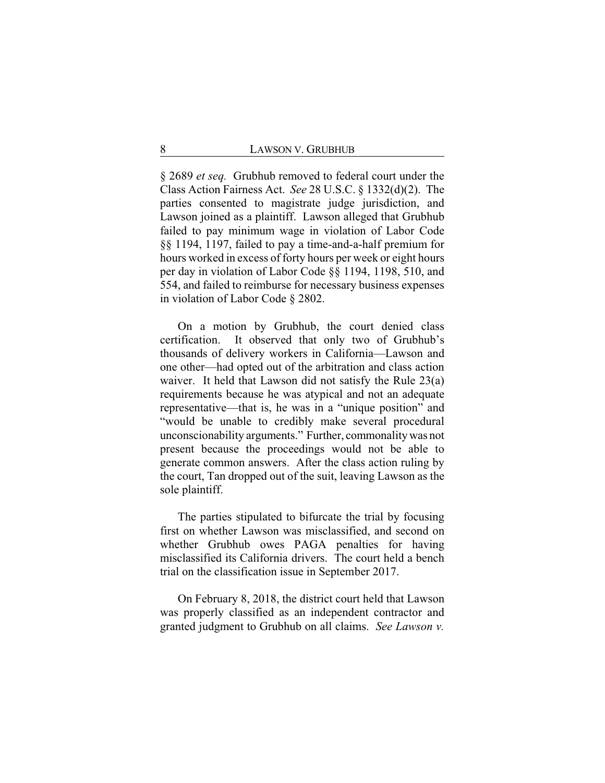§ 2689 *et seq.* Grubhub removed to federal court under the Class Action Fairness Act. *See* 28 U.S.C. § 1332(d)(2). The parties consented to magistrate judge jurisdiction, and Lawson joined as a plaintiff. Lawson alleged that Grubhub failed to pay minimum wage in violation of Labor Code §§ 1194, 1197, failed to pay a time-and-a-half premium for hours worked in excess of forty hours per week or eight hours per day in violation of Labor Code §§ 1194, 1198, 510, and 554, and failed to reimburse for necessary business expenses in violation of Labor Code § 2802.

On a motion by Grubhub, the court denied class certification. It observed that only two of Grubhub's thousands of delivery workers in California—Lawson and one other—had opted out of the arbitration and class action waiver. It held that Lawson did not satisfy the Rule 23(a) requirements because he was atypical and not an adequate representative—that is, he was in a "unique position" and "would be unable to credibly make several procedural unconscionability arguments." Further, commonalitywas not present because the proceedings would not be able to generate common answers. After the class action ruling by the court, Tan dropped out of the suit, leaving Lawson as the sole plaintiff.

The parties stipulated to bifurcate the trial by focusing first on whether Lawson was misclassified, and second on whether Grubhub owes PAGA penalties for having misclassified its California drivers. The court held a bench trial on the classification issue in September 2017.

On February 8, 2018, the district court held that Lawson was properly classified as an independent contractor and granted judgment to Grubhub on all claims. *See Lawson v.*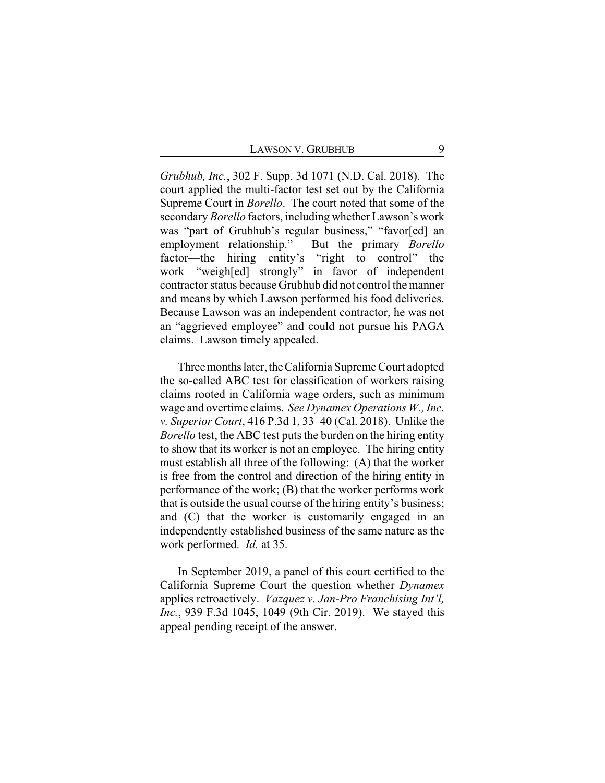*Grubhub, Inc.*, 302 F. Supp. 3d 1071 (N.D. Cal. 2018). The court applied the multi-factor test set out by the California Supreme Court in *Borello*. The court noted that some of the secondary *Borello* factors, including whether Lawson's work was "part of Grubhub's regular business," "favor[ed] an employment relationship." But the primary *Borello* factor—the hiring entity's "right to control" the work—"weigh[ed] strongly" in favor of independent contractor status because Grubhub did not control the manner and means by which Lawson performed his food deliveries. Because Lawson was an independent contractor, he was not an "aggrieved employee" and could not pursue his PAGA claims. Lawson timely appealed.

Three months later, the California Supreme Court adopted the so-called ABC test for classification of workers raising claims rooted in California wage orders, such as minimum wage and overtime claims. *See Dynamex Operations W., Inc. v. Superior Court*, 416 P.3d 1, 33–40 (Cal. 2018). Unlike the *Borello* test, the ABC test puts the burden on the hiring entity to show that its worker is not an employee. The hiring entity must establish all three of the following: (A) that the worker is free from the control and direction of the hiring entity in performance of the work; (B) that the worker performs work that is outside the usual course of the hiring entity's business; and (C) that the worker is customarily engaged in an independently established business of the same nature as the work performed. *Id.* at 35.

In September 2019, a panel of this court certified to the California Supreme Court the question whether *Dynamex* applies retroactively. *Vazquez v. Jan-Pro Franchising Int'l, Inc.*, 939 F.3d 1045, 1049 (9th Cir. 2019). We stayed this appeal pending receipt of the answer.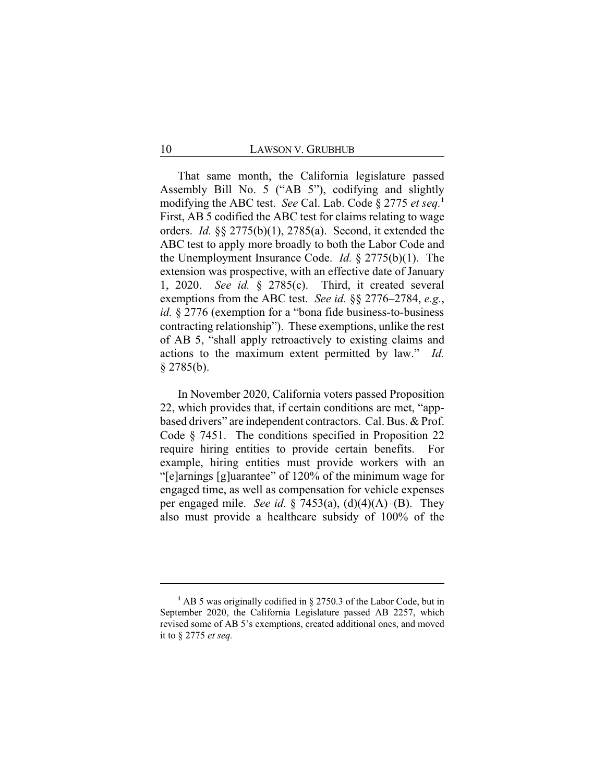That same month, the California legislature passed Assembly Bill No. 5 ("AB 5"), codifying and slightly modifying the ABC test. *See* Cal. Lab. Code § 2775 *et seq.***<sup>1</sup>** First, AB 5 codified the ABC test for claims relating to wage orders. *Id.* §§ 2775(b)(1), 2785(a). Second, it extended the ABC test to apply more broadly to both the Labor Code and the Unemployment Insurance Code. *Id.* § 2775(b)(1). The extension was prospective, with an effective date of January 1, 2020. *See id.* § 2785(c). Third, it created several exemptions from the ABC test. *See id.* §§ 2776–2784, *e.g.*, *id.* § 2776 (exemption for a "bona fide business-to-business contracting relationship"). These exemptions, unlike the rest of AB 5, "shall apply retroactively to existing claims and actions to the maximum extent permitted by law." *Id.*  $§$  2785(b).

In November 2020, California voters passed Proposition 22, which provides that, if certain conditions are met, "appbased drivers" are independent contractors. Cal. Bus. & Prof. Code § 7451. The conditions specified in Proposition 22 require hiring entities to provide certain benefits. For example, hiring entities must provide workers with an "[e]arnings [g]uarantee" of 120% of the minimum wage for engaged time, as well as compensation for vehicle expenses per engaged mile. *See id.* § 7453(a), (d)(4)(A)–(B). They also must provide a healthcare subsidy of 100% of the

**<sup>1</sup>** AB 5 was originally codified in § 2750.3 of the Labor Code, but in September 2020, the California Legislature passed AB 2257, which revised some of AB 5's exemptions, created additional ones, and moved it to § 2775 *et seq.*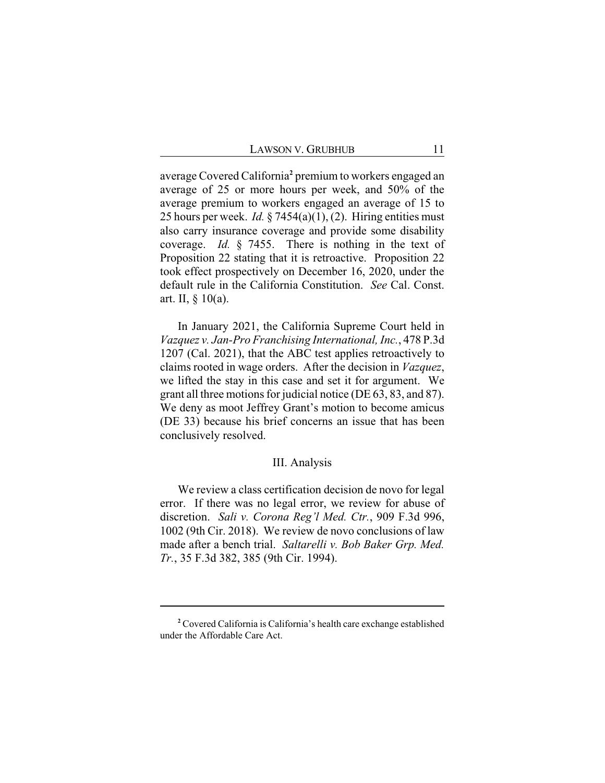average Covered California**<sup>2</sup>** premium to workers engaged an average of 25 or more hours per week, and 50% of the average premium to workers engaged an average of 15 to 25 hours per week. *Id.* § 7454(a)(1), (2). Hiring entities must also carry insurance coverage and provide some disability coverage. *Id.* § 7455. There is nothing in the text of Proposition 22 stating that it is retroactive. Proposition 22 took effect prospectively on December 16, 2020, under the default rule in the California Constitution. *See* Cal. Const. art. II, § 10(a).

In January 2021, the California Supreme Court held in *Vazquez v. Jan-Pro Franchising International, Inc.*, 478 P.3d 1207 (Cal. 2021), that the ABC test applies retroactively to claims rooted in wage orders. After the decision in *Vazquez*, we lifted the stay in this case and set it for argument. We grant all three motions for judicial notice (DE 63, 83, and 87). We deny as moot Jeffrey Grant's motion to become amicus (DE 33) because his brief concerns an issue that has been conclusively resolved.

#### III. Analysis

We review a class certification decision de novo for legal error. If there was no legal error, we review for abuse of discretion. *Sali v. Corona Reg'l Med. Ctr.*, 909 F.3d 996, 1002 (9th Cir. 2018). We review de novo conclusions of law made after a bench trial. *Saltarelli v. Bob Baker Grp. Med. Tr.*, 35 F.3d 382, 385 (9th Cir. 1994).

**<sup>2</sup>** Covered California is California's health care exchange established under the Affordable Care Act.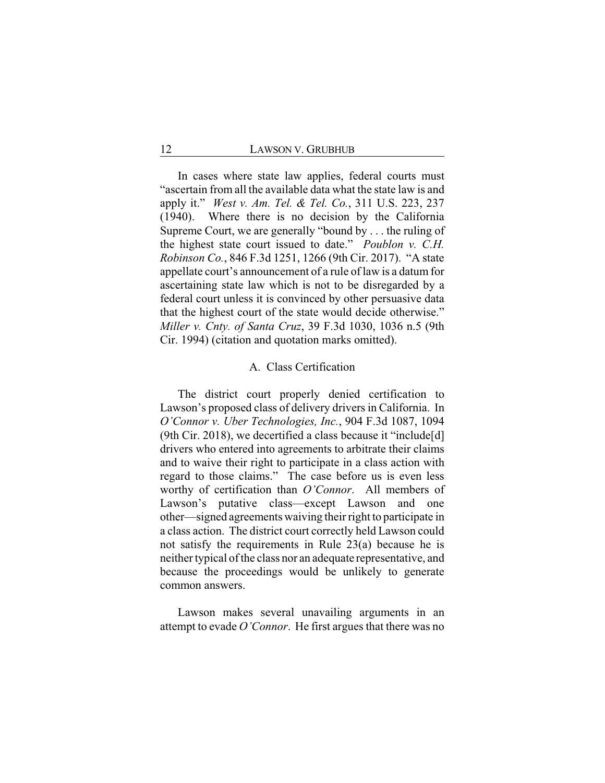In cases where state law applies, federal courts must "ascertain from all the available data what the state law is and apply it." *West v. Am. Tel. & Tel. Co.*, 311 U.S. 223, 237 (1940). Where there is no decision by the California Supreme Court, we are generally "bound by . . . the ruling of the highest state court issued to date." *Poublon v. C.H. Robinson Co.*, 846 F.3d 1251, 1266 (9th Cir. 2017). "A state appellate court's announcement of a rule of law is a datum for ascertaining state law which is not to be disregarded by a federal court unless it is convinced by other persuasive data that the highest court of the state would decide otherwise." *Miller v. Cnty. of Santa Cruz*, 39 F.3d 1030, 1036 n.5 (9th Cir. 1994) (citation and quotation marks omitted).

### A. Class Certification

The district court properly denied certification to Lawson's proposed class of delivery drivers in California. In *O'Connor v. Uber Technologies, Inc.*, 904 F.3d 1087, 1094 (9th Cir. 2018), we decertified a class because it "include[d] drivers who entered into agreements to arbitrate their claims and to waive their right to participate in a class action with regard to those claims." The case before us is even less worthy of certification than *O'Connor*. All members of Lawson's putative class—except Lawson and one other—signed agreements waiving their right to participate in a class action. The district court correctly held Lawson could not satisfy the requirements in Rule 23(a) because he is neither typical of the class nor an adequate representative, and because the proceedings would be unlikely to generate common answers.

Lawson makes several unavailing arguments in an attempt to evade *O'Connor*. He first argues that there was no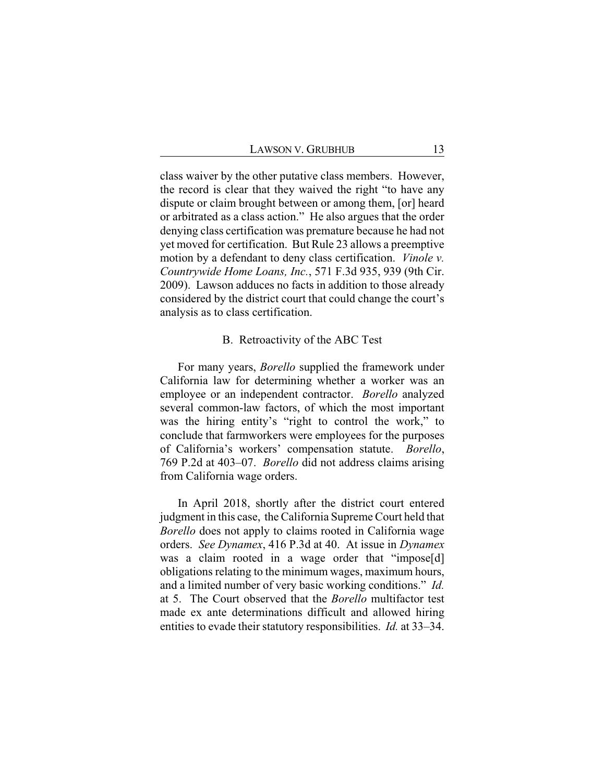class waiver by the other putative class members. However, the record is clear that they waived the right "to have any dispute or claim brought between or among them, [or] heard or arbitrated as a class action." He also argues that the order denying class certification was premature because he had not yet moved for certification. But Rule 23 allows a preemptive motion by a defendant to deny class certification. *Vinole v. Countrywide Home Loans, Inc.*, 571 F.3d 935, 939 (9th Cir. 2009). Lawson adduces no facts in addition to those already considered by the district court that could change the court's analysis as to class certification.

#### B. Retroactivity of the ABC Test

For many years, *Borello* supplied the framework under California law for determining whether a worker was an employee or an independent contractor. *Borello* analyzed several common-law factors, of which the most important was the hiring entity's "right to control the work," to conclude that farmworkers were employees for the purposes of California's workers' compensation statute. *Borello*, 769 P.2d at 403–07. *Borello* did not address claims arising from California wage orders.

In April 2018, shortly after the district court entered judgment in this case, the California Supreme Court held that *Borello* does not apply to claims rooted in California wage orders. *See Dynamex*, 416 P.3d at 40. At issue in *Dynamex* was a claim rooted in a wage order that "impose<sup>[d]</sup> obligations relating to the minimum wages, maximum hours, and a limited number of very basic working conditions." *Id.* at 5. The Court observed that the *Borello* multifactor test made ex ante determinations difficult and allowed hiring entities to evade their statutory responsibilities. *Id.* at 33–34.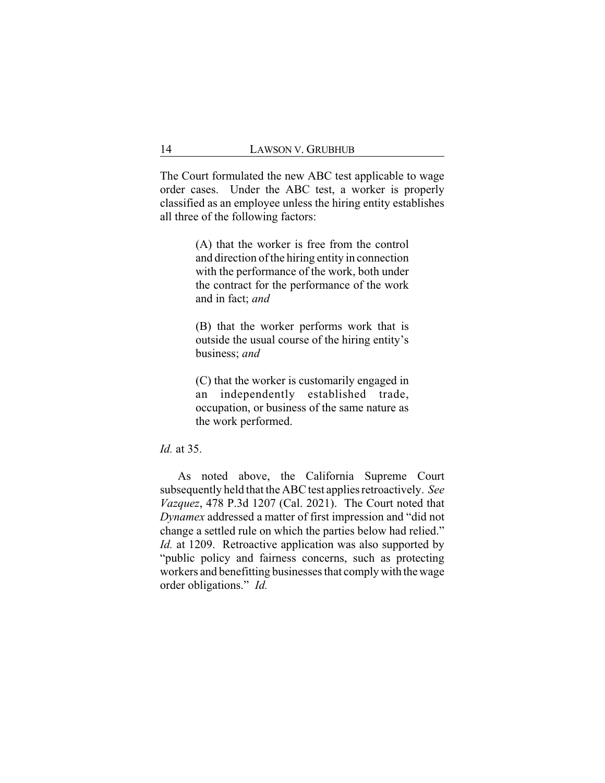The Court formulated the new ABC test applicable to wage order cases. Under the ABC test, a worker is properly classified as an employee unless the hiring entity establishes all three of the following factors:

> (A) that the worker is free from the control and direction of the hiring entity in connection with the performance of the work, both under the contract for the performance of the work and in fact; *and*

> (B) that the worker performs work that is outside the usual course of the hiring entity's business; *and*

> (C) that the worker is customarily engaged in an independently established trade, occupation, or business of the same nature as the work performed.

*Id.* at 35.

As noted above, the California Supreme Court subsequently held that the ABC test applies retroactively. *See Vazquez*, 478 P.3d 1207 (Cal. 2021). The Court noted that *Dynamex* addressed a matter of first impression and "did not change a settled rule on which the parties below had relied." *Id.* at 1209. Retroactive application was also supported by "public policy and fairness concerns, such as protecting workers and benefitting businesses that complywith thewage order obligations." *Id.*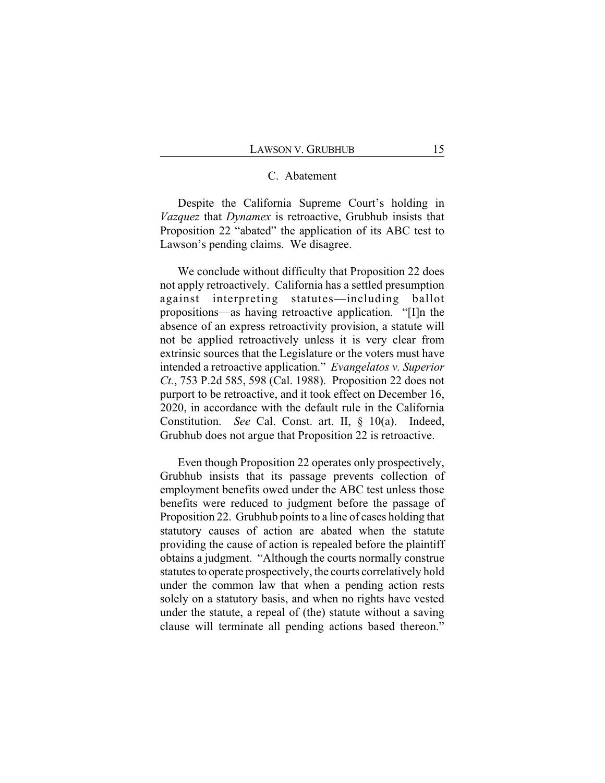## C. Abatement

Despite the California Supreme Court's holding in *Vazquez* that *Dynamex* is retroactive, Grubhub insists that Proposition 22 "abated" the application of its ABC test to Lawson's pending claims. We disagree.

We conclude without difficulty that Proposition 22 does not apply retroactively. California has a settled presumption against interpreting statutes—including ballot propositions—as having retroactive application. "[I]n the absence of an express retroactivity provision, a statute will not be applied retroactively unless it is very clear from extrinsic sources that the Legislature or the voters must have intended a retroactive application." *Evangelatos v. Superior Ct.*, 753 P.2d 585, 598 (Cal. 1988). Proposition 22 does not purport to be retroactive, and it took effect on December 16, 2020, in accordance with the default rule in the California Constitution. *See* Cal. Const. art. II, § 10(a). Indeed, Grubhub does not argue that Proposition 22 is retroactive.

Even though Proposition 22 operates only prospectively, Grubhub insists that its passage prevents collection of employment benefits owed under the ABC test unless those benefits were reduced to judgment before the passage of Proposition 22. Grubhub points to a line of cases holding that statutory causes of action are abated when the statute providing the cause of action is repealed before the plaintiff obtains a judgment. "Although the courts normally construe statutes to operate prospectively, the courts correlatively hold under the common law that when a pending action rests solely on a statutory basis, and when no rights have vested under the statute, a repeal of (the) statute without a saving clause will terminate all pending actions based thereon."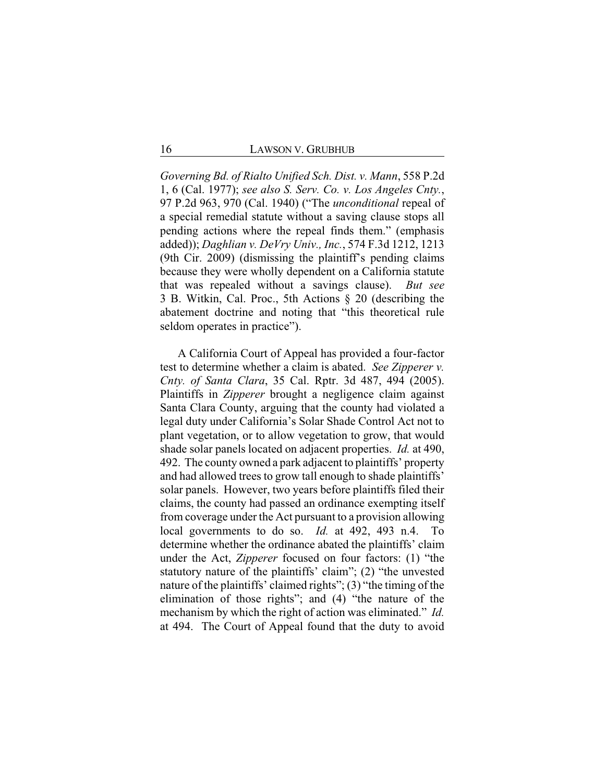*Governing Bd. of Rialto Unified Sch. Dist. v. Mann*, 558 P.2d 1, 6 (Cal. 1977); *see also S. Serv. Co. v. Los Angeles Cnty.*, 97 P.2d 963, 970 (Cal. 1940) ("The *unconditional* repeal of a special remedial statute without a saving clause stops all pending actions where the repeal finds them." (emphasis added)); *Daghlian v. DeVry Univ., Inc.*, 574 F.3d 1212, 1213 (9th Cir. 2009) (dismissing the plaintiff's pending claims because they were wholly dependent on a California statute that was repealed without a savings clause). *But see* 3 B. Witkin, Cal. Proc., 5th Actions § 20 (describing the abatement doctrine and noting that "this theoretical rule seldom operates in practice").

A California Court of Appeal has provided a four-factor test to determine whether a claim is abated. *See Zipperer v. Cnty. of Santa Clara*, 35 Cal. Rptr. 3d 487, 494 (2005). Plaintiffs in *Zipperer* brought a negligence claim against Santa Clara County, arguing that the county had violated a legal duty under California's Solar Shade Control Act not to plant vegetation, or to allow vegetation to grow, that would shade solar panels located on adjacent properties. *Id.* at 490, 492. The county owned a park adjacent to plaintiffs' property and had allowed trees to grow tall enough to shade plaintiffs' solar panels. However, two years before plaintiffs filed their claims, the county had passed an ordinance exempting itself from coverage under the Act pursuant to a provision allowing local governments to do so. *Id.* at 492, 493 n.4. To determine whether the ordinance abated the plaintiffs' claim under the Act, *Zipperer* focused on four factors: (1) "the statutory nature of the plaintiffs' claim"; (2) "the unvested nature of the plaintiffs' claimed rights"; (3) "the timing of the elimination of those rights"; and (4) "the nature of the mechanism by which the right of action was eliminated." *Id.* at 494. The Court of Appeal found that the duty to avoid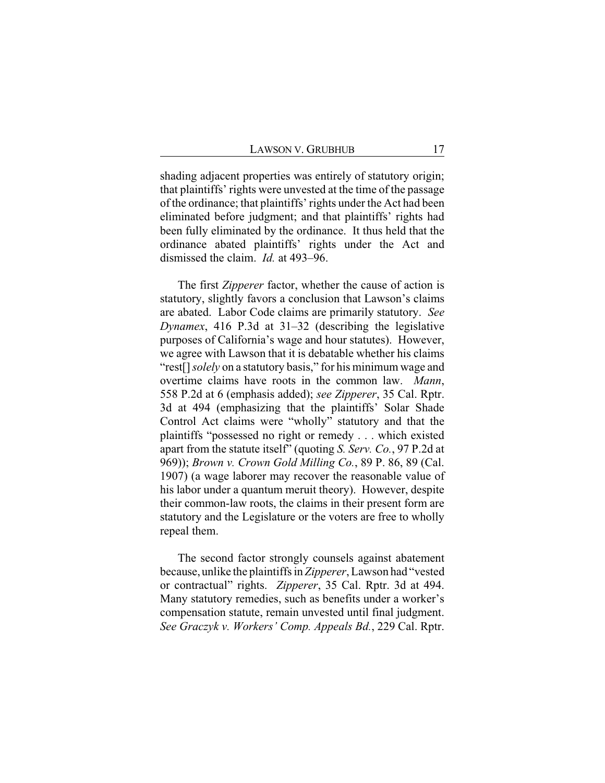shading adjacent properties was entirely of statutory origin; that plaintiffs' rights were unvested at the time of the passage of the ordinance; that plaintiffs' rights under the Act had been eliminated before judgment; and that plaintiffs' rights had been fully eliminated by the ordinance. It thus held that the ordinance abated plaintiffs' rights under the Act and dismissed the claim. *Id.* at 493–96.

The first *Zipperer* factor, whether the cause of action is statutory, slightly favors a conclusion that Lawson's claims are abated. Labor Code claims are primarily statutory. *See Dynamex*, 416 P.3d at 31–32 (describing the legislative purposes of California's wage and hour statutes). However, we agree with Lawson that it is debatable whether his claims "rest[] *solely* on a statutory basis," for his minimum wage and overtime claims have roots in the common law. *Mann*, 558 P.2d at 6 (emphasis added); *see Zipperer*, 35 Cal. Rptr. 3d at 494 (emphasizing that the plaintiffs' Solar Shade Control Act claims were "wholly" statutory and that the plaintiffs "possessed no right or remedy . . . which existed apart from the statute itself" (quoting *S. Serv. Co.*, 97 P.2d at 969)); *Brown v. Crown Gold Milling Co.*, 89 P. 86, 89 (Cal. 1907) (a wage laborer may recover the reasonable value of his labor under a quantum meruit theory). However, despite their common-law roots, the claims in their present form are statutory and the Legislature or the voters are free to wholly repeal them.

The second factor strongly counsels against abatement because, unlike the plaintiffs in *Zipperer*, Lawson had "vested or contractual" rights. *Zipperer*, 35 Cal. Rptr. 3d at 494. Many statutory remedies, such as benefits under a worker's compensation statute, remain unvested until final judgment. *See Graczyk v. Workers' Comp. Appeals Bd.*, 229 Cal. Rptr.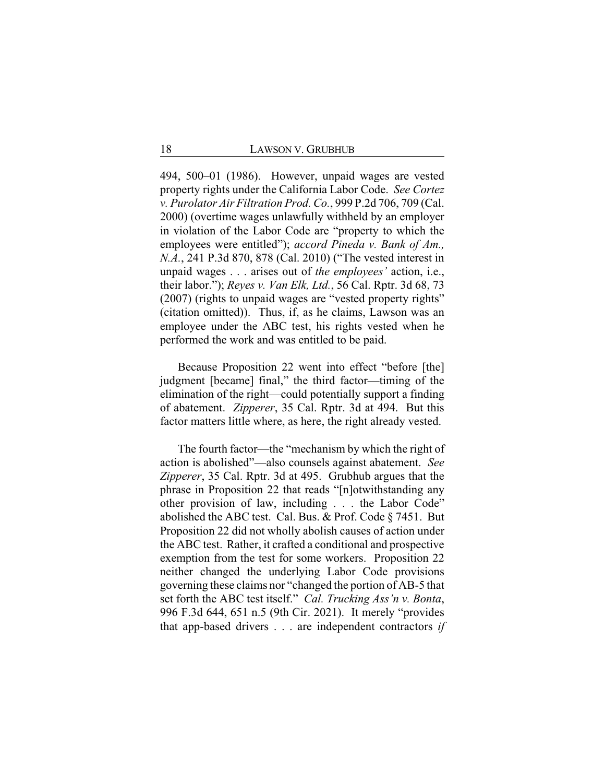494, 500–01 (1986). However, unpaid wages are vested property rights under the California Labor Code. *See Cortez v. Purolator Air Filtration Prod. Co.*, 999 P.2d 706, 709 (Cal. 2000) (overtime wages unlawfully withheld by an employer in violation of the Labor Code are "property to which the employees were entitled"); *accord Pineda v. Bank of Am., N.A.*, 241 P.3d 870, 878 (Cal. 2010) ("The vested interest in unpaid wages . . . arises out of *the employees'* action, i.e., their labor."); *Reyes v. Van Elk, Ltd.*, 56 Cal. Rptr. 3d 68, 73 (2007) (rights to unpaid wages are "vested property rights" (citation omitted)). Thus, if, as he claims, Lawson was an employee under the ABC test, his rights vested when he performed the work and was entitled to be paid.

Because Proposition 22 went into effect "before [the] judgment [became] final," the third factor—timing of the elimination of the right—could potentially support a finding of abatement. *Zipperer*, 35 Cal. Rptr. 3d at 494. But this factor matters little where, as here, the right already vested.

The fourth factor—the "mechanism by which the right of action is abolished"—also counsels against abatement. *See Zipperer*, 35 Cal. Rptr. 3d at 495. Grubhub argues that the phrase in Proposition 22 that reads "[n]otwithstanding any other provision of law, including . . . the Labor Code" abolished the ABC test. Cal. Bus. & Prof. Code § 7451. But Proposition 22 did not wholly abolish causes of action under the ABC test. Rather, it crafted a conditional and prospective exemption from the test for some workers. Proposition 22 neither changed the underlying Labor Code provisions governing these claims nor "changed the portion of AB-5 that set forth the ABC test itself." *Cal. Trucking Ass'n v. Bonta*, 996 F.3d 644, 651 n.5 (9th Cir. 2021). It merely "provides that app-based drivers . . . are independent contractors *if*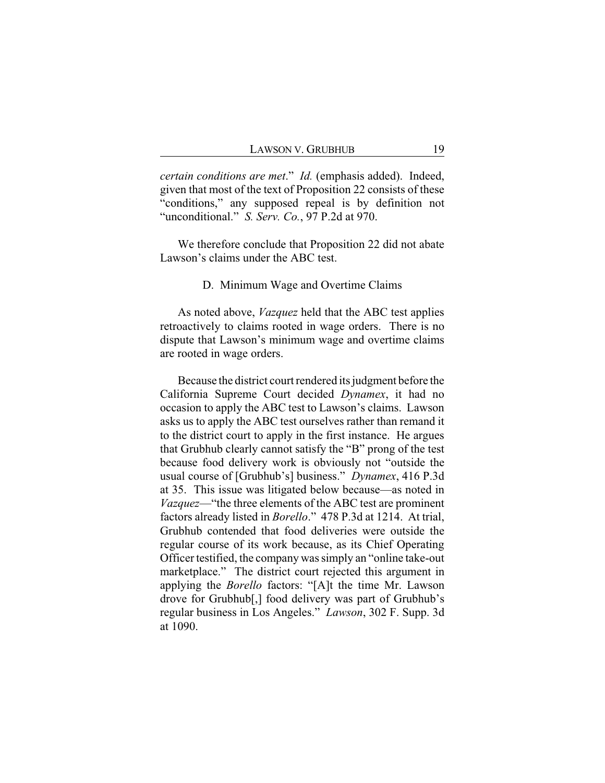*certain conditions are met*." *Id.* (emphasis added). Indeed, given that most of the text of Proposition 22 consists of these "conditions," any supposed repeal is by definition not "unconditional." *S. Serv. Co.*, 97 P.2d at 970.

We therefore conclude that Proposition 22 did not abate Lawson's claims under the ABC test.

#### D. Minimum Wage and Overtime Claims

As noted above, *Vazquez* held that the ABC test applies retroactively to claims rooted in wage orders. There is no dispute that Lawson's minimum wage and overtime claims are rooted in wage orders.

Because the district court rendered its judgment before the California Supreme Court decided *Dynamex*, it had no occasion to apply the ABC test to Lawson's claims. Lawson asks us to apply the ABC test ourselves rather than remand it to the district court to apply in the first instance. He argues that Grubhub clearly cannot satisfy the "B" prong of the test because food delivery work is obviously not "outside the usual course of [Grubhub's] business." *Dynamex*, 416 P.3d at 35. This issue was litigated below because—as noted in *Vazquez*—"the three elements of the ABC test are prominent factors already listed in *Borello*." 478 P.3d at 1214. At trial, Grubhub contended that food deliveries were outside the regular course of its work because, as its Chief Operating Officer testified, the company was simply an "online take-out marketplace." The district court rejected this argument in applying the *Borello* factors: "[A]t the time Mr. Lawson drove for Grubhub[,] food delivery was part of Grubhub's regular business in Los Angeles." *Lawson*, 302 F. Supp. 3d at 1090.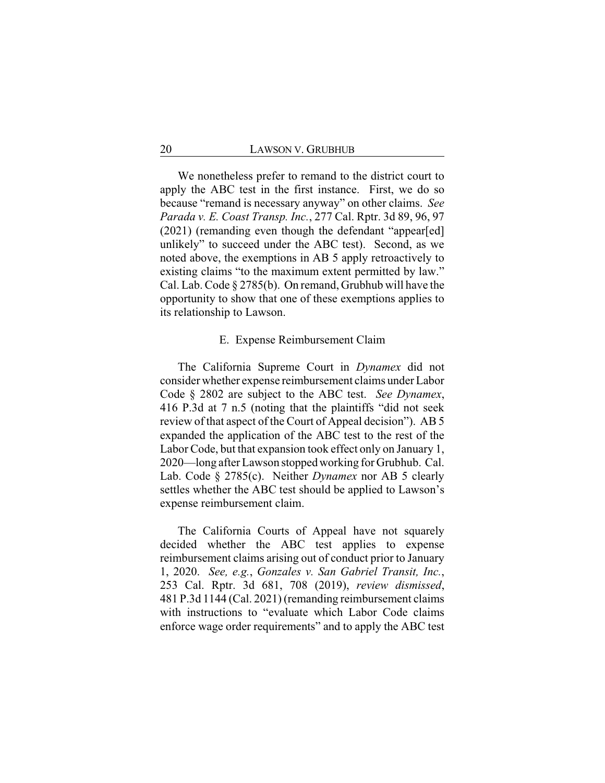We nonetheless prefer to remand to the district court to apply the ABC test in the first instance. First, we do so because "remand is necessary anyway" on other claims. *See Parada v. E. Coast Transp. Inc.*, 277 Cal. Rptr. 3d 89, 96, 97 (2021) (remanding even though the defendant "appear[ed] unlikely" to succeed under the ABC test). Second, as we noted above, the exemptions in AB 5 apply retroactively to existing claims "to the maximum extent permitted by law." Cal. Lab. Code § 2785(b). On remand, Grubhub will have the opportunity to show that one of these exemptions applies to its relationship to Lawson.

#### E. Expense Reimbursement Claim

The California Supreme Court in *Dynamex* did not consider whether expense reimbursement claims under Labor Code § 2802 are subject to the ABC test. *See Dynamex*, 416 P.3d at 7 n.5 (noting that the plaintiffs "did not seek review of that aspect of the Court of Appeal decision"). AB 5 expanded the application of the ABC test to the rest of the Labor Code, but that expansion took effect only on January 1, 2020—long after Lawson stoppedworking for Grubhub. Cal. Lab. Code § 2785(c). Neither *Dynamex* nor AB 5 clearly settles whether the ABC test should be applied to Lawson's expense reimbursement claim.

The California Courts of Appeal have not squarely decided whether the ABC test applies to expense reimbursement claims arising out of conduct prior to January 1, 2020. *See, e.g.*, *Gonzales v. San Gabriel Transit, Inc.*, 253 Cal. Rptr. 3d 681, 708 (2019), *review dismissed*, 481 P.3d 1144 (Cal. 2021) (remanding reimbursement claims with instructions to "evaluate which Labor Code claims enforce wage order requirements" and to apply the ABC test